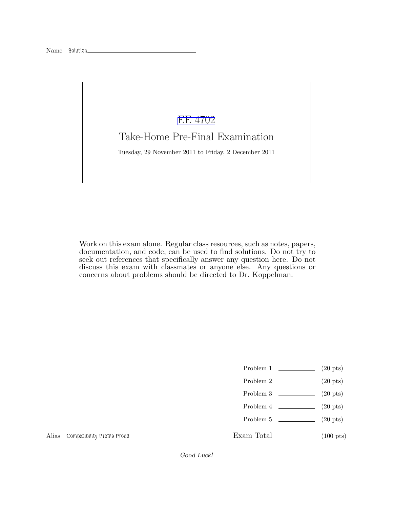## [EE 4702](http://www.ece.lsu.edu/koppel/gpup/)

## Take-Home Pre-Final Examination

Tuesday, 29 November 2011 to Friday, 2 December 2011

Work on this exam alone. Regular class resources, such as notes, papers, documentation, and code, can be used to find solutions. Do not try to seek out references that specifically answer any question here. Do not discuss this exam with classmates or anyone else. Any questions or concerns about problems should be directed to Dr. Koppelman.

- Problem 1  $\qquad \qquad (20 \text{ pts})$
- Problem 2  $\qquad \qquad (20 \text{ pts})$
- Problem 3 (20 pts)
- Problem 4  $\qquad \qquad (20 \text{ pts})$
- Problem 5 (20 pts)

Exam Total  $\qquad \qquad (100 \text{ pts})$ 

Alias Compatibility Profile Proud

*Good Luck!*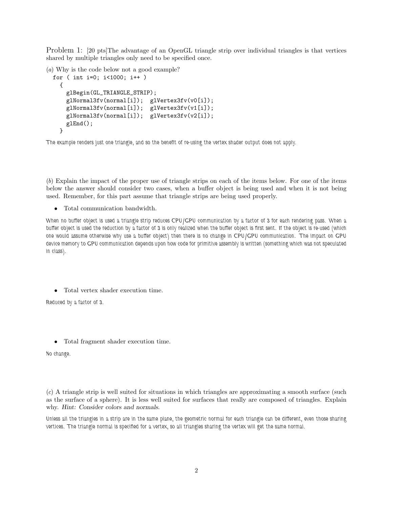Problem 1: [20 pts]The advantage of an OpenGL triangle strip over individual triangles is that vertices shared by multiple triangles only need to be specified once.

(*a*) Why is the code below not a good example?

```
for ( int i=0; i<1000; i++ )
 {
   glBegin(GL_TRIANGLE_STRIP);
   glNormal3fv(normal[i]); glVertex3fv(v0[i]);
    glNormal3fv(normal[i]); glVertex3fv(v1[i]);
   glNormal3fv(normal[i]); glVertex3fv(v2[i]);
   glEnd();
 }
```
The example renders just one triangle, and so the benefit of re-using the vertex shader output does not apply.

(*b*) Explain the impact of the proper use of triangle strips on each of the items below. For one of the items below the answer should consider two cases, when a buffer object is being used and when it is not being used. Remember, for this part assume that triangle strips are being used properly.

• Total communication bandwidth.

When no buffer object is used a triangle strip reduces CPU/GPU communication by a factor of 3 for each rendering pass. When a buffer object is used the reduction by a factor of 3 is only realized when the buffer object is first sent. If the object is re-used (which one would assume otherwise why use a buffer object) then there is no change in CPU/GPU communication. The impact on GPU device memory to GPU communication depends upon how code for primitive assembly is written (something which was not speculated in class).

• Total vertex shader execution time.

Reduced by a factor of 3.

• Total fragment shader execution time.

No change.

(*c*) A triangle strip is well suited for situations in which triangles are approximating a smooth surface (such as the surface of a sphere). It is less well suited for surfaces that really are composed of triangles. Explain why. *Hint: Consider colors and normals.*

Unless all the triangles in a strip are in the same plane, the geometric normal for each triangle can be different, even those sharing vertices. The triangle normal is specified for a vertex, so all triangles sharing the vertex will get the same normal.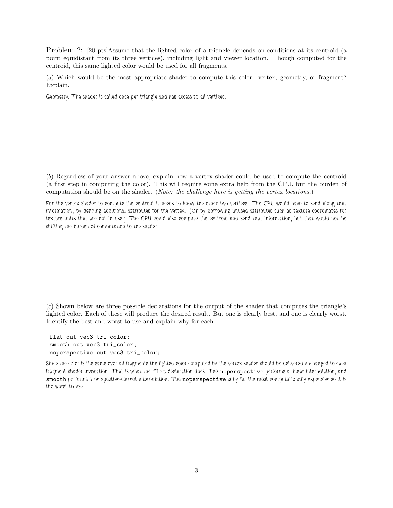Problem 2: [20 pts]Assume that the lighted color of a triangle depends on conditions at its centroid (a point equidistant from its three vertices), including light and viewer location. Though computed for the centroid, this same lighted color would be used for all fragments.

(*a*) Which would be the most appropriate shader to compute this color: vertex, geometry, or fragment? Explain.

Geometry. The shader is called once per triangle and has access to all vertices.

(*b*) Regardless of your answer above, explain how a vertex shader could be used to compute the centroid (a first step in computing the color). This will require some extra help from the CPU, but the burden of computation should be on the shader. (*Note: the challenge here is getting the vertex locations.*)

For the vertex shader to compute the centroid it needs to know the other two vertices. The CPU would have to send along that information, by defining additional attributes for the vertex. (Or by borrowing unused attributes such as texture coordinates for texture units that are not in use.) The CPU could also compute the centroid and send that information, but that would not be shifting the burden of computation to the shader.

(*c*) Shown below are three possible declarations for the output of the shader that computes the triangle's lighted color. Each of these will produce the desired result. But one is clearly best, and one is clearly worst. Identify the best and worst to use and explain why for each.

flat out vec3 tri\_color; smooth out vec3 tri\_color; noperspective out vec3 tri\_color;

Since the color is the same over all fragments the lighted color computed by the vertex shader should be delivered unchanged to each fragment shader invocation. That is what the flat declaration does. The noperspective performs a linear interpolation, and smooth performs a perspective-correct interpolation. The noperspective is by far the most computationally expensive so it is the worst to use.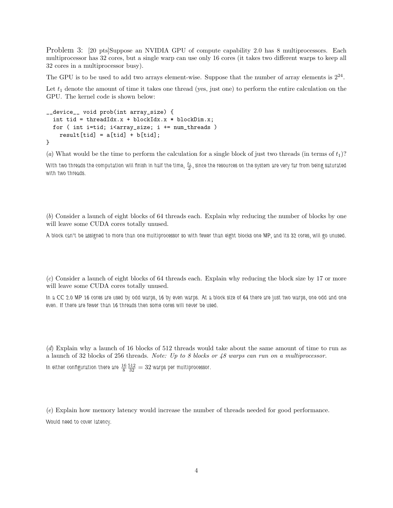Problem 3: [20 pts]Suppose an NVIDIA GPU of compute capability 2.0 has 8 multiprocessors. Each multiprocessor has 32 cores, but a single warp can use only 16 cores (it takes two different warps to keep all 32 cores in a multiprocessor busy).

The GPU is to be used to add two arrays element-wise. Suppose that the number of array elements is  $2^{24}$ .

Let  $t_1$  denote the amount of time it takes one thread (yes, just one) to perform the entire calculation on the GPU. The kernel code is shown below:

```
__device__ void prob(int array_size) {
  int tid = threadIdx.x + blockIdx.x * blockDim.x;
  for ( int i=tid; i<array_size; i += num_threads )
   result[tid] = a[tid] + b[tid];}
```
(*a*) What would be the time to perform the calculation for a single block of just two threads (in terms of  $t_1$ )?

With two threads the computation will finish in half the time,  $\frac{t_1}{2},$  since the resources on the system are very far from being saturated with two threads.

(*b*) Consider a launch of eight blocks of 64 threads each. Explain why reducing the number of blocks by one will leave some CUDA cores totally unused.

A block can't be assigned to more than one multiprocessor so with fewer than eight blocks one MP, and its 32 cores, will go unused.

(*c*) Consider a launch of eight blocks of 64 threads each. Explain why reducing the block size by 17 or more will leave some CUDA cores totally unused.

In a CC 2.0 MP 16 cores are used by odd warps, 16 by even warps. At a block size of 64 there are just two warps, one odd and one even. If there are fewer than 16 threads then some cores will never be used.

(*d*) Explain why a launch of 16 blocks of 512 threads would take about the same amount of time to run as a launch of 32 blocks of 256 threads. *Note: Up to 8 blocks or 48 warps can run on a multiprocessor.* In either configuration there are  $\frac{16}{8} \frac{512}{32} = 32$  warps per multiprocessor.

(*e*) Explain how memory latency would increase the number of threads needed for good performance. Would need to cover latency.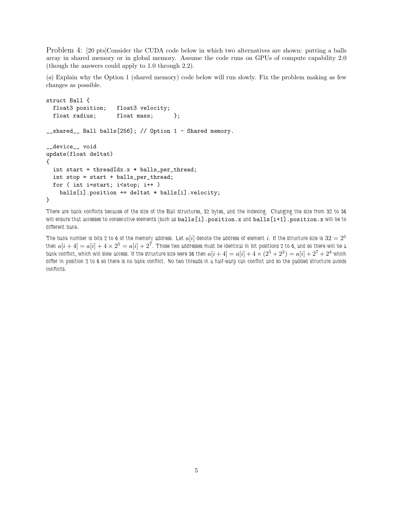Problem 4: [20 pts]Consider the CUDA code below in which two alternatives are shown: putting a balls array in shared memory or in global memory. Assume the code runs on GPUs of compute capability 2.0 (though the answers could apply to 1.0 through 2.2).

(*a*) Explain why the Option 1 (shared memory) code below will run slowly. Fix the problem making as few changes as possible.

```
struct Ball {
 float3 position; float3 velocity;
 float radius; float mass; };
__shared__ Ball balls[256]; // Option 1 - Shared memory.
__device__ void
update(float deltat)
{
 int start = threadIdx.x * balls_per_thread;
 int stop = start + balls_per_thread;
 for ( int i=start; i<stop; i++ )
   balls[i].position += deltat * balls[i].velocity;
}
```
There are bank conflicts because of the size of the Ball structures, 32 bytes, and the indexing. Changing the size from 32 to 36 will ensure that accesses to consecutive elements (such as balls[i].position.x and balls[i+1].position.x will be to different bank.

The bank number is bits 2 to 6 of the memory address. Let  $a[i]$  denote the address of element i. If the structure size is  $32 = 2^5$ then  $a[i+4]=a[i]+4\times2^5=a[i]+2^7.$  Those two addresses must be identical in bit positions 2 to 6, and so there will be a bank conflict, which will slow access. If the structure size were 36 then  $a[i+4]=a[i]+4\times(2^5+2^2)=a[i]+2^7+2^4$  which differ in position 2 to 6 so there is no bank conflict. No two threads in a half-warp can conflict and so the padded structure avoids conflicts.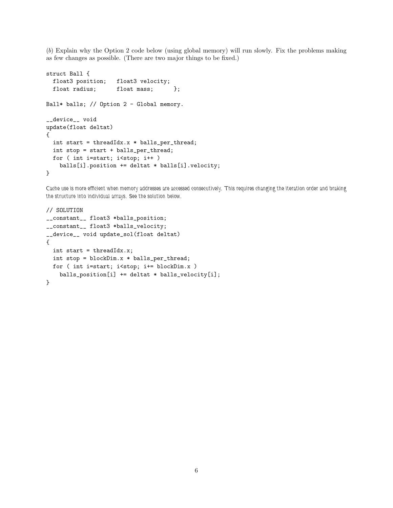(*b*) Explain why the Option 2 code below (using global memory) will run slowly. Fix the problems making as few changes as possible. (There are two major things to be fixed.)

```
struct Ball {
 float3 position; float3 velocity;
 float radius; float mass; };
Ball* balls; // Option 2 - Global memory.
__device__ void
update(float deltat)
{
  int start = threadIdx.x * balls_per_thread;
 int stop = start + balls_per_thread;
 for ( int i=start; i<stop; i++ )
   balls[i].position += deltat * balls[i].velocity;
}
```
Cache use is more efficient when memory addresses are accessed consecutively. This requires changing the iteration order and braking the structure into individual arrays. See the solution below.

```
// SOLUTION
__constant__ float3 *balls_position;
__constant__ float3 *balls_velocity;
__device__ void update_sol(float deltat)
{
  int start = threadIdx.x;
  int stop = blockDim.x * balls_per_thread;
  for ( int i=start; i<stop; i+= blockDim.x )
    balls_position[i] += deltat * balls_velocity[i];
}
```